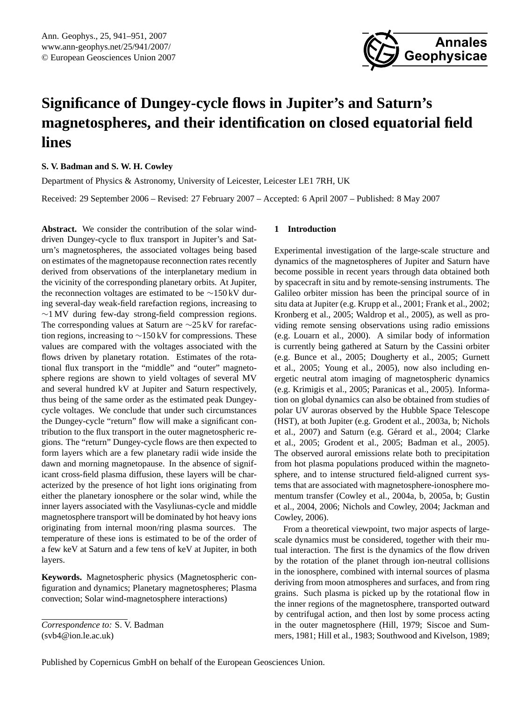

# <span id="page-0-0"></span>**Significance of Dungey-cycle flows in Jupiter's and Saturn's magnetospheres, and their identification on closed equatorial field lines**

**S. V. Badman and S. W. H. Cowley**

Department of Physics & Astronomy, University of Leicester, Leicester LE1 7RH, UK

Received: 29 September 2006 – Revised: 27 February 2007 – Accepted: 6 April 2007 – Published: 8 May 2007

**Abstract.** We consider the contribution of the solar winddriven Dungey-cycle to flux transport in Jupiter's and Saturn's magnetospheres, the associated voltages being based on estimates of the magnetopause reconnection rates recently derived from observations of the interplanetary medium in the vicinity of the corresponding planetary orbits. At Jupiter, the reconnection voltages are estimated to be ∼150 kV during several-day weak-field rarefaction regions, increasing to ∼1 MV during few-day strong-field compression regions. The corresponding values at Saturn are ∼25 kV for rarefaction regions, increasing to  $\sim$ 150 kV for compressions. These values are compared with the voltages associated with the flows driven by planetary rotation. Estimates of the rotational flux transport in the "middle" and "outer" magnetosphere regions are shown to yield voltages of several MV and several hundred kV at Jupiter and Saturn respectively, thus being of the same order as the estimated peak Dungeycycle voltages. We conclude that under such circumstances the Dungey-cycle "return" flow will make a significant contribution to the flux transport in the outer magnetospheric regions. The "return" Dungey-cycle flows are then expected to form layers which are a few planetary radii wide inside the dawn and morning magnetopause. In the absence of significant cross-field plasma diffusion, these layers will be characterized by the presence of hot light ions originating from either the planetary ionosphere or the solar wind, while the inner layers associated with the Vasyliunas-cycle and middle magnetosphere transport will be dominated by hot heavy ions originating from internal moon/ring plasma sources. The temperature of these ions is estimated to be of the order of a few keV at Saturn and a few tens of keV at Jupiter, in both layers.

**Keywords.** Magnetospheric physics (Magnetospheric configuration and dynamics; Planetary magnetospheres; Plasma convection; Solar wind-magnetosphere interactions)

# **1 Introduction**

Experimental investigation of the large-scale structure and dynamics of the magnetospheres of Jupiter and Saturn have become possible in recent years through data obtained both by spacecraft in situ and by remote-sensing instruments. The Galileo orbiter mission has been the principal source of in situ data at Jupiter (e.g. Krupp et al., 2001; Frank et al., 2002; Kronberg et al., 2005; Waldrop et al., 2005), as well as providing remote sensing observations using radio emissions (e.g. Louarn et al., 2000). A similar body of information is currently being gathered at Saturn by the Cassini orbiter (e.g. Bunce et al., 2005; Dougherty et al., 2005; Gurnett et al., 2005; Young et al., 2005), now also including energetic neutral atom imaging of magnetospheric dynamics (e.g. Krimigis et al., 2005; Paranicas et al., 2005). Information on global dynamics can also be obtained from studies of polar UV auroras observed by the Hubble Space Telescope (HST), at both Jupiter (e.g. Grodent et al., 2003a, b; Nichols et al., 2007) and Saturn (e.g. Gérard et al., 2004; Clarke et al., 2005; Grodent et al., 2005; Badman et al., 2005). The observed auroral emissions relate both to precipitation from hot plasma populations produced within the magnetosphere, and to intense structured field-aligned current systems that are associated with magnetosphere-ionosphere momentum transfer (Cowley et al., 2004a, b, 2005a, b; Gustin et al., 2004, 2006; Nichols and Cowley, 2004; Jackman and Cowley, 2006).

From a theoretical viewpoint, two major aspects of largescale dynamics must be considered, together with their mutual interaction. The first is the dynamics of the flow driven by the rotation of the planet through ion-neutral collisions in the ionosphere, combined with internal sources of plasma deriving from moon atmospheres and surfaces, and from ring grains. Such plasma is picked up by the rotational flow in the inner regions of the magnetosphere, transported outward by centrifugal action, and then lost by some process acting in the outer magnetosphere (Hill, 1979; Siscoe and Summers, 1981; Hill et al., 1983; Southwood and Kivelson, 1989;

*Correspondence to:* S. V. Badman (svb4@ion.le.ac.uk)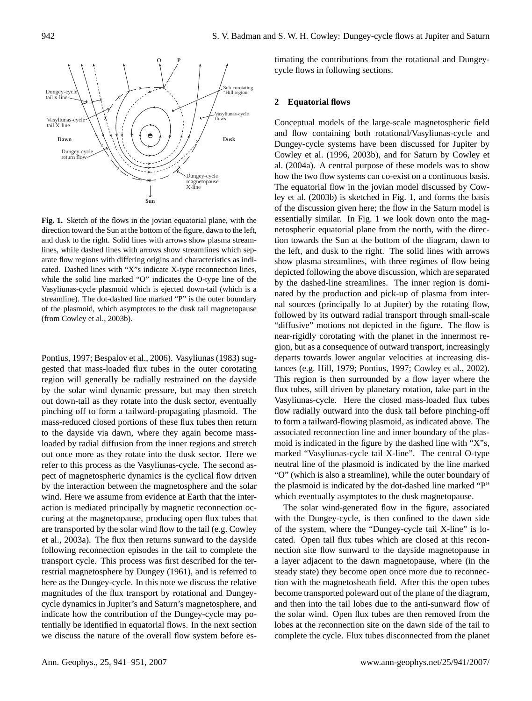

direction toward the Sun at the bottom of the figure, dawn to the left, **Fig. 1.** Sketch of the flows in the jovian equatorial plane, with the and dusk to the right. Solid lines with arrows show plasma streamlines, while dashed lines with arrows show streamlines which separate flow regions with differing origins and characteristics as indicated. Dashed lines with "X"s indicate X-type reconnection lines, while the solid line marked "O" indicates the O-type line of the Vasyliunas-cycle plasmoid which is ejected down-tail (which is a streamline). The dot-dashed line marked "P" is the outer boundary of the plasmoid, which asymptotes to the dusk tail magnetopause (from Cowley et al., 2003b).

Pontius, 1997; Bespalov et al., 2006). Vasyliunas (1983) suggested that mass-loaded flux tubes in the outer corotating region will generally be radially restrained on the dayside by the solar wind dynamic pressure, but may then stretch out down-tail as they rotate into the dusk sector, eventually pinching off to form a tailward-propagating plasmoid. The mass-reduced closed portions of these flux tubes then return to the dayside via dawn, where they again become massloaded by radial diffusion from the inner regions and stretch out once more as they rotate into the dusk sector. Here we refer to this process as the Vasyliunas-cycle. The second aspect of magnetospheric dynamics is the cyclical flow driven by the interaction between the magnetosphere and the solar wind. Here we assume from evidence at Earth that the interaction is mediated principally by magnetic reconnection occuring at the magnetopause, producing open flux tubes that are transported by the solar wind flow to the tail (e.g. Cowley et al., 2003a). The flux then returns sunward to the dayside following reconnection episodes in the tail to complete the transport cycle. This process was first described for the terrestrial magnetosphere by Dungey (1961), and is referred to here as the Dungey-cycle. In this note we discuss the relative magnitudes of the flux transport by rotational and Dungeycycle dynamics in Jupiter's and Saturn's magnetosphere, and indicate how the contribution of the Dungey-cycle may potentially be identified in equatorial flows. In the next section we discuss the nature of the overall flow system before estimating the contributions from the rotational and Dungeycycle flows in following sections.

#### **2 Equatorial flows**

Conceptual models of the large-scale magnetospheric field and flow containing both rotational/Vasyliunas-cycle and Dungey-cycle systems have been discussed for Jupiter by Cowley et al. (1996, 2003b), and for Saturn by Cowley et al. (2004a). A central purpose of these models was to show how the two flow systems can co-exist on a continuous basis. The equatorial flow in the jovian model discussed by Cowley et al. (2003b) is sketched in Fig. 1, and forms the basis of the discussion given here; the flow in the Saturn model is essentially similar. In Fig. 1 we look down onto the magnetospheric equatorial plane from the north, with the direction towards the Sun at the bottom of the diagram, dawn to the left, and dusk to the right. The solid lines with arrows show plasma streamlines, with three regimes of flow being depicted following the above discussion, which are separated by the dashed-line streamlines. The inner region is dominated by the production and pick-up of plasma from internal sources (principally Io at Jupiter) by the rotating flow, followed by its outward radial transport through small-scale "diffusive" motions not depicted in the figure. The flow is near-rigidly corotating with the planet in the innermost region, but as a consequence of outward transport, increasingly departs towards lower angular velocities at increasing distances (e.g. Hill, 1979; Pontius, 1997; Cowley et al., 2002). This region is then surrounded by a flow layer where the flux tubes, still driven by planetary rotation, take part in the Vasyliunas-cycle. Here the closed mass-loaded flux tubes flow radially outward into the dusk tail before pinching-off to form a tailward-flowing plasmoid, as indicated above. The associated reconnection line and inner boundary of the plasmoid is indicated in the figure by the dashed line with "X"s, marked "Vasyliunas-cycle tail X-line". The central O-type neutral line of the plasmoid is indicated by the line marked "O" (which is also a streamline), while the outer boundary of the plasmoid is indicated by the dot-dashed line marked "P" which eventually asymptotes to the dusk magnetopause.

The solar wind-generated flow in the figure, associated with the Dungey-cycle, is then confined to the dawn side of the system, where the "Dungey-cycle tail X-line" is located. Open tail flux tubes which are closed at this reconnection site flow sunward to the dayside magnetopause in a layer adjacent to the dawn magnetopause, where (in the steady state) they become open once more due to reconnection with the magnetosheath field. After this the open tubes become transported poleward out of the plane of the diagram, and then into the tail lobes due to the anti-sunward flow of the solar wind. Open flux tubes are then removed from the lobes at the reconnection site on the dawn side of the tail to complete the cycle. Flux tubes disconnected from the planet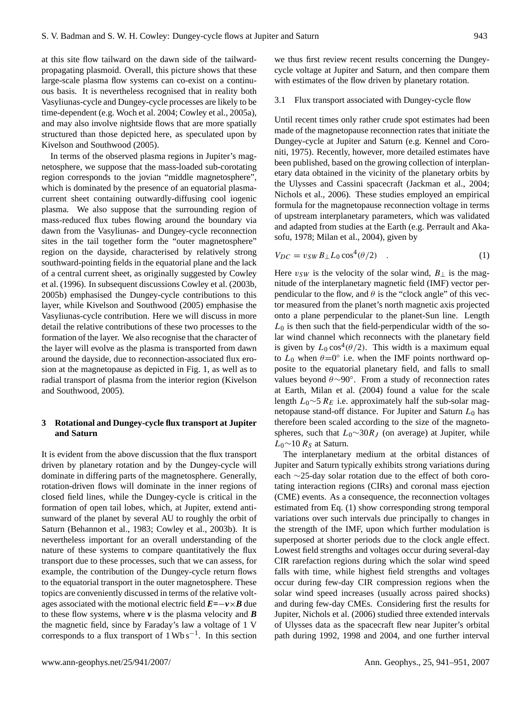at this site flow tailward on the dawn side of the tailwardpropagating plasmoid. Overall, this picture shows that these large-scale plasma flow systems can co-exist on a continuous basis. It is nevertheless recognised that in reality both Vasyliunas-cycle and Dungey-cycle processes are likely to be time-dependent (e.g. Woch et al. 2004; Cowley et al., 2005a), and may also involve nightside flows that are more spatially structured than those depicted here, as speculated upon by Kivelson and Southwood (2005).

In terms of the observed plasma regions in Jupiter's magnetosphere, we suppose that the mass-loaded sub-corotating region corresponds to the jovian "middle magnetosphere", which is dominated by the presence of an equatorial plasmacurrent sheet containing outwardly-diffusing cool iogenic plasma. We also suppose that the surrounding region of mass-reduced flux tubes flowing around the boundary via dawn from the Vasyliunas- and Dungey-cycle reconnection sites in the tail together form the "outer magnetosphere" region on the dayside, characterised by relatively strong southward-pointing fields in the equatorial plane and the lack of a central current sheet, as originally suggested by Cowley et al. (1996). In subsequent discussions Cowley et al. (2003b, 2005b) emphasised the Dungey-cycle contributions to this layer, while Kivelson and Southwood (2005) emphasise the Vasyliunas-cycle contribution. Here we will discuss in more detail the relative contributions of these two processes to the formation of the layer. We also recognise that the character of the layer will evolve as the plasma is transported from dawn around the dayside, due to reconnection-associated flux erosion at the magnetopause as depicted in Fig. 1, as well as to radial transport of plasma from the interior region (Kivelson and Southwood, 2005).

# **3 Rotational and Dungey-cycle flux transport at Jupiter and Saturn**

It is evident from the above discussion that the flux transport driven by planetary rotation and by the Dungey-cycle will dominate in differing parts of the magnetosphere. Generally, rotation-driven flows will dominate in the inner regions of closed field lines, while the Dungey-cycle is critical in the formation of open tail lobes, which, at Jupiter, extend antisunward of the planet by several AU to roughly the orbit of Saturn (Behannon et al., 1983; Cowley et al., 2003b). It is nevertheless important for an overall understanding of the nature of these systems to compare quantitatively the flux transport due to these processes, such that we can assess, for example, the contribution of the Dungey-cycle return flows to the equatorial transport in the outer magnetosphere. These topics are conveniently discussed in terms of the relative voltages associated with the motional electric field  $E=-v\times B$  due to these flow systems, where  $\nu$  is the plasma velocity and **B** the magnetic field, since by Faraday's law a voltage of 1 V corresponds to a flux transport of  $1 \text{Wb s}^{-1}$ . In this section

we thus first review recent results concerning the Dungeycycle voltage at Jupiter and Saturn, and then compare them with estimates of the flow driven by planetary rotation.

#### 3.1 Flux transport associated with Dungey-cycle flow

Until recent times only rather crude spot estimates had been made of the magnetopause reconnection rates that initiate the Dungey-cycle at Jupiter and Saturn (e.g. Kennel and Coroniti, 1975). Recently, however, more detailed estimates have been published, based on the growing collection of interplanetary data obtained in the vicinity of the planetary orbits by the Ulysses and Cassini spacecraft (Jackman et al., 2004; Nichols et al., 2006). These studies employed an empirical formula for the magnetopause reconnection voltage in terms of upstream interplanetary parameters, which was validated and adapted from studies at the Earth (e.g. Perrault and Akasofu, 1978; Milan et al., 2004), given by

$$
V_{DC} = v_{SW} B_{\perp} L_0 \cos^4(\theta/2) \quad . \tag{1}
$$

Here  $v_{SW}$  is the velocity of the solar wind,  $B_{\perp}$  is the magnitude of the interplanetary magnetic field (IMF) vector perpendicular to the flow, and  $\theta$  is the "clock angle" of this vector measured from the planet's north magnetic axis projected onto a plane perpendicular to the planet-Sun line. Length  $L_0$  is then such that the field-perpendicular width of the solar wind channel which reconnects with the planetary field is given by  $L_0 \cos^4(\theta/2)$ . This width is a maximum equal to  $L_0$  when  $\theta = 0^\circ$  i.e. when the IMF points northward opposite to the equatorial planetary field, and falls to small values beyond θ∼90◦ . From a study of reconnection rates at Earth, Milan et al. (2004) found a value for the scale length  $L_0 \sim 5 R_E$  i.e. approximately half the sub-solar magnetopause stand-off distance. For Jupiter and Saturn  $L_0$  has therefore been scaled according to the size of the magnetospheres, such that  $L_0 \sim 30R_J$  (on average) at Jupiter, while  $L_0$ ∼10  $R_s$  at Saturn.

The interplanetary medium at the orbital distances of Jupiter and Saturn typically exhibits strong variations during each ∼25-day solar rotation due to the effect of both corotating interaction regions (CIRs) and coronal mass ejection (CME) events. As a consequence, the reconnection voltages estimated from Eq. (1) show corresponding strong temporal variations over such intervals due principally to changes in the strength of the IMF, upon which further modulation is superposed at shorter periods due to the clock angle effect. Lowest field strengths and voltages occur during several-day CIR rarefaction regions during which the solar wind speed falls with time, while highest field strengths and voltages occur during few-day CIR compression regions when the solar wind speed increases (usually across paired shocks) and during few-day CMEs. Considering first the results for Jupiter, Nichols et al. (2006) studied three extended intervals of Ulysses data as the spacecraft flew near Jupiter's orbital path during 1992, 1998 and 2004, and one further interval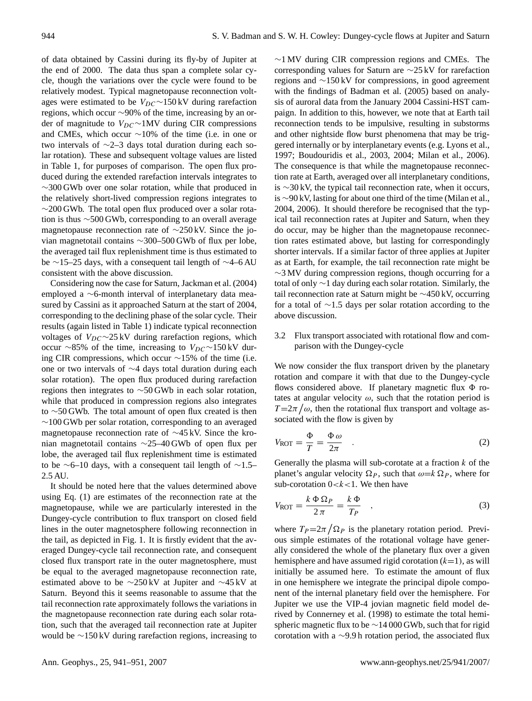of data obtained by Cassini during its fly-by of Jupiter at the end of 2000. The data thus span a complete solar cycle, though the variations over the cycle were found to be relatively modest. Typical magnetopause reconnection voltages were estimated to be  $V_{DC}$ ∼150 kV during rarefaction regions, which occur ∼90% of the time, increasing by an order of magnitude to  $V_{DC} \sim 1MV$  during CIR compressions and CMEs, which occur ∼10% of the time (i.e. in one or two intervals of ∼2–3 days total duration during each solar rotation). These and subsequent voltage values are listed in Table 1, for purposes of comparison. The open flux produced during the extended rarefaction intervals integrates to ∼300 GWb over one solar rotation, while that produced in the relatively short-lived compression regions integrates to  $\sim$ 200 GWb. The total open flux produced over a solar rotation is thus ∼500 GWb, corresponding to an overall average magnetopause reconnection rate of ∼250 kV. Since the jovian magnetotail contains ∼300–500 GWb of flux per lobe, the averaged tail flux replenishment time is thus estimated to be ∼15–25 days, with a consequent tail length of ∼4–6 AU consistent with the above discussion.

Considering now the case for Saturn, Jackman et al. (2004) employed a ∼6-month interval of interplanetary data measured by Cassini as it approached Saturn at the start of 2004, corresponding to the declining phase of the solar cycle. Their results (again listed in Table 1) indicate typical reconnection voltages of  $V_{DC} \sim 25 \text{ kV}$  during rarefaction regions, which occur ∼85% of the time, increasing to  $V_{DC}$ ∼150 kV during CIR compressions, which occur ∼15% of the time (i.e. one or two intervals of ∼4 days total duration during each solar rotation). The open flux produced during rarefaction regions then integrates to ∼50 GWb in each solar rotation, while that produced in compression regions also integrates to ∼50 GWb. The total amount of open flux created is then ∼100 GWb per solar rotation, corresponding to an averaged magnetopause reconnection rate of ∼45 kV. Since the kronian magnetotail contains ∼25–40 GWb of open flux per lobe, the averaged tail flux replenishment time is estimated to be ∼6–10 days, with a consequent tail length of ∼1.5– 2.5 AU.

It should be noted here that the values determined above using Eq. (1) are estimates of the reconnection rate at the magnetopause, while we are particularly interested in the Dungey-cycle contribution to flux transport on closed field lines in the outer magnetosphere following reconnection in the tail, as depicted in Fig. 1. It is firstly evident that the averaged Dungey-cycle tail reconnection rate, and consequent closed flux transport rate in the outer magnetosphere, must be equal to the averaged magnetopause reconnection rate, estimated above to be ∼250 kV at Jupiter and ∼45 kV at Saturn. Beyond this it seems reasonable to assume that the tail reconnection rate approximately follows the variations in the magnetopause reconnection rate during each solar rotation, such that the averaged tail reconnection rate at Jupiter would be ∼150 kV during rarefaction regions, increasing to ∼1 MV during CIR compression regions and CMEs. The corresponding values for Saturn are ∼25 kV for rarefaction regions and ∼150 kV for compressions, in good agreement with the findings of Badman et al. (2005) based on analysis of auroral data from the January 2004 Cassini-HST campaign. In addition to this, however, we note that at Earth tail reconnection tends to be impulsive, resulting in substorms and other nightside flow burst phenomena that may be triggered internally or by interplanetary events (e.g. Lyons et al., 1997; Boudouridis et al., 2003, 2004; Milan et al., 2006). The consequence is that while the magnetopause reconnection rate at Earth, averaged over all interplanetary conditions, is ∼30 kV, the typical tail reconnection rate, when it occurs, is ∼90 kV, lasting for about one third of the time (Milan et al., 2004, 2006). It should therefore be recognised that the typical tail reconnection rates at Jupiter and Saturn, when they do occur, may be higher than the magnetopause reconnection rates estimated above, but lasting for correspondingly shorter intervals. If a similar factor of three applies at Jupiter as at Earth, for example, the tail reconnection rate might be  $\sim$ 3 MV during compression regions, though occurring for a total of only ∼1 day during each solar rotation. Similarly, the tail reconnection rate at Saturn might be ∼450 kV, occurring for a total of ∼1.5 days per solar rotation according to the above discussion.

## 3.2 Flux transport associated with rotational flow and comparison with the Dungey-cycle

We now consider the flux transport driven by the planetary rotation and compare it with that due to the Dungey-cycle flows considered above. If planetary magnetic flux  $\Phi$  rotates at angular velocity  $\omega$ , such that the rotation period is  $T=2\pi/\omega$ , then the rotational flux transport and voltage associated with the flow is given by

$$
V_{\text{ROT}} = \frac{\Phi}{T} = \frac{\Phi \omega}{2\pi} \quad . \tag{2}
$$

Generally the plasma will sub-corotate at a fraction  $k$  of the planet's angular velocity  $\Omega_P$ , such that  $\omega = k \Omega_P$ , where for sub-corotation  $0 < k < 1$ . We then have

$$
V_{\text{ROT}} = \frac{k \Phi \Omega_P}{2\pi} = \frac{k \Phi}{T_P} \quad , \tag{3}
$$

where  $T_P = 2\pi / \Omega_P$  is the planetary rotation period. Previous simple estimates of the rotational voltage have generally considered the whole of the planetary flux over a given hemisphere and have assumed rigid corotation  $(k=1)$ , as will initially be assumed here. To estimate the amount of flux in one hemisphere we integrate the principal dipole component of the internal planetary field over the hemisphere. For Jupiter we use the VIP-4 jovian magnetic field model derived by Connerney et al. (1998) to estimate the total hemispheric magnetic flux to be ∼14 000 GWb, such that for rigid corotation with a ∼9.9 h rotation period, the associated flux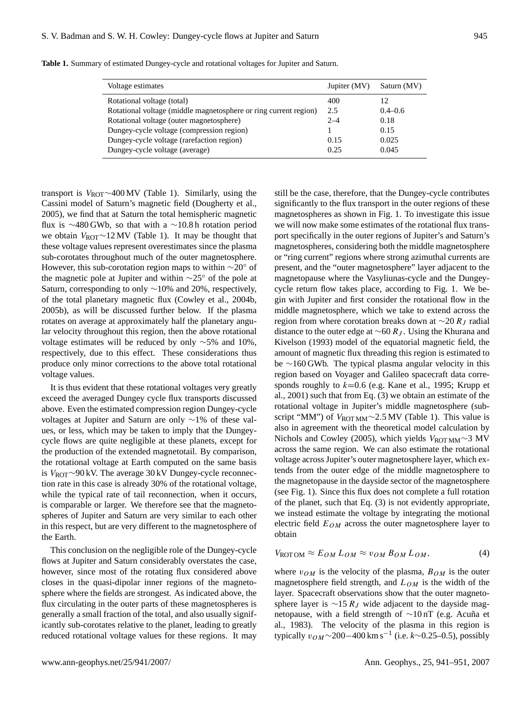| Voltage estimates                                                | Jupiter (MV) | Saturn (MV) |
|------------------------------------------------------------------|--------------|-------------|
| Rotational voltage (total)                                       | 400          | 12          |
| Rotational voltage (middle magnetosphere or ring current region) | 2.5          | $0.4 - 0.6$ |
| Rotational voltage (outer magnetosphere)                         | $2 - 4$      | 0.18        |
| Dungey-cycle voltage (compression region)                        |              | 0.15        |
| Dungey-cycle voltage (rarefaction region)                        | 0.15         | 0.025       |
| Dungey-cycle voltage (average)                                   | 0.25         | 0.045       |

**Table 1.** Summary of estimated Dungey-cycle and rotational voltages for Jupiter and Saturn.

transport is  $V_{ROT}$ ~400 MV (Table 1). Similarly, using the Cassini model of Saturn's magnetic field (Dougherty et al., 2005), we find that at Saturn the total hemispheric magnetic flux is ∼480 GWb, so that with a ∼10.8 h rotation period we obtain  $V_{\text{ROT}}$ ∼12 MV (Table 1). It may be thought that these voltage values represent overestimates since the plasma sub-corotates throughout much of the outer magnetosphere. However, this sub-corotation region maps to within  $\sim$ 20° of the magnetic pole at Jupiter and within ∼25◦ of the pole at Saturn, corresponding to only ∼10% and 20%, respectively, of the total planetary magnetic flux (Cowley et al., 2004b, 2005b), as will be discussed further below. If the plasma rotates on average at approximately half the planetary angular velocity throughout this region, then the above rotational voltage estimates will be reduced by only ∼5% and 10%, respectively, due to this effect. These considerations thus produce only minor corrections to the above total rotational voltage values.

It is thus evident that these rotational voltages very greatly exceed the averaged Dungey cycle flux transports discussed above. Even the estimated compression region Dungey-cycle voltages at Jupiter and Saturn are only ∼1% of these values, or less, which may be taken to imply that the Dungeycycle flows are quite negligible at these planets, except for the production of the extended magnetotail. By comparison, the rotational voltage at Earth computed on the same basis is VROT∼90 kV. The average 30 kV Dungey-cycle reconnection rate in this case is already 30% of the rotational voltage, while the typical rate of tail reconnection, when it occurs, is comparable or larger. We therefore see that the magnetospheres of Jupiter and Saturn are very similar to each other in this respect, but are very different to the magnetosphere of the Earth.

This conclusion on the negligible role of the Dungey-cycle flows at Jupiter and Saturn considerably overstates the case, however, since most of the rotating flux considered above closes in the quasi-dipolar inner regions of the magnetosphere where the fields are strongest. As indicated above, the flux circulating in the outer parts of these magnetospheres is generally a small fraction of the total, and also usually significantly sub-corotates relative to the planet, leading to greatly reduced rotational voltage values for these regions. It may still be the case, therefore, that the Dungey-cycle contributes significantly to the flux transport in the outer regions of these magnetospheres as shown in Fig. 1. To investigate this issue we will now make some estimates of the rotational flux transport specifically in the outer regions of Jupiter's and Saturn's magnetospheres, considering both the middle magnetosphere or "ring current" regions where strong azimuthal currents are present, and the "outer magnetosphere" layer adjacent to the magnetopause where the Vasyliunas-cycle and the Dungeycycle return flow takes place, according to Fig. 1. We begin with Jupiter and first consider the rotational flow in the middle magnetosphere, which we take to extend across the region from where corotation breaks down at  $\sim$ 20 R<sub>J</sub> radial distance to the outer edge at  $\sim$ 60 R<sub>J</sub>. Using the Khurana and Kivelson (1993) model of the equatorial magnetic field, the amount of magnetic flux threading this region is estimated to be ∼160 GWb. The typical plasma angular velocity in this region based on Voyager and Galileo spacecraft data corresponds roughly to  $k=0.6$  (e.g. Kane et al., 1995; Krupp et al., 2001) such that from Eq. (3) we obtain an estimate of the rotational voltage in Jupiter's middle magnetosphere (subscript "MM") of  $V_{\text{ROTMM}}$ ~2.5 MV (Table 1). This value is also in agreement with the theoretical model calculation by Nichols and Cowley (2005), which yields  $V_{\text{ROT MM}}$ ~3 MV across the same region. We can also estimate the rotational voltage across Jupiter's outer magnetosphere layer, which extends from the outer edge of the middle magnetosphere to the magnetopause in the dayside sector of the magnetosphere (see Fig. 1). Since this flux does not complete a full rotation of the planet, such that Eq. (3) is not evidently appropriate, we instead estimate the voltage by integrating the motional electric field  $E_{OM}$  across the outer magnetosphere layer to obtain

$$
V_{\text{ROTOM}} \approx E_{OM} L_{OM} \approx v_{OM} B_{OM} L_{OM}, \tag{4}
$$

where  $v_{OM}$  is the velocity of the plasma,  $B_{OM}$  is the outer magnetosphere field strength, and  $L_{OM}$  is the width of the layer. Spacecraft observations show that the outer magnetosphere layer is  $\sim$ 15 R<sub>J</sub> wide adjacent to the dayside magnetopause, with a field strength of ∼10 nT (e.g. Acuña et al., 1983). The velocity of the plasma in this region is typically v<sub>OM</sub>∼200–400 km s<sup>-1</sup> (i.e. *k*∼0.25–0.5), possibly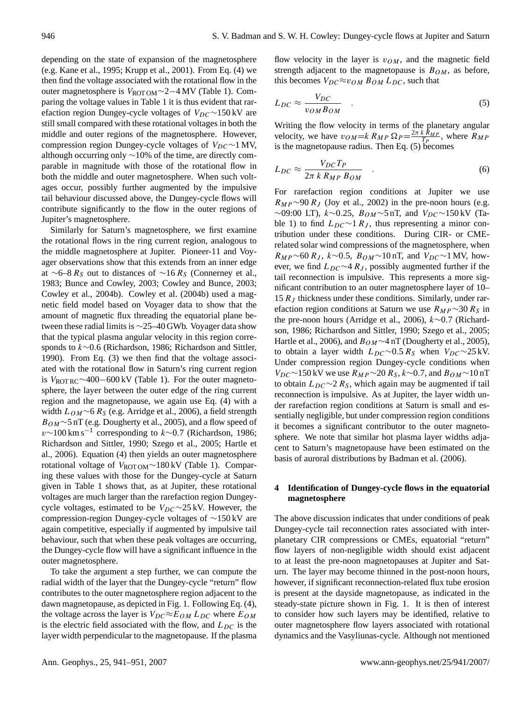depending on the state of expansion of the magnetosphere (e.g. Kane et al., 1995; Krupp et al., 2001). From Eq. (4) we then find the voltage associated with the rotational flow in the outer magnetosphere is V<sub>ROT OM</sub>∼2−4 MV (Table 1). Comparing the voltage values in Table 1 it is thus evident that rarefaction region Dungey-cycle voltages of  $V_{DC}$ ∼150 kV are still small compared with these rotational voltages in both the middle and outer regions of the magnetosphere. However, compression region Dungey-cycle voltages of  $V_{DC}$ ∼1 MV, although occurring only ∼10% of the time, are directly comparable in magnitude with those of the rotational flow in both the middle and outer magnetosphere. When such voltages occur, possibly further augmented by the impulsive tail behaviour discussed above, the Dungey-cycle flows will contribute significantly to the flow in the outer regions of Jupiter's magnetosphere.

Similarly for Saturn's magnetosphere, we first examine the rotational flows in the ring current region, analogous to the middle magnetosphere at Jupiter. Pioneer-11 and Voyager observations show that this extends from an inner edge at ∼6–8 R<sub>S</sub> out to distances of ∼16 R<sub>S</sub> (Connerney et al., 1983; Bunce and Cowley, 2003; Cowley and Bunce, 2003; Cowley et al., 2004b). Cowley et al. (2004b) used a magnetic field model based on Voyager data to show that the amount of magnetic flux threading the equatorial plane between these radial limits is ∼25–40 GWb. Voyager data show that the typical plasma angular velocity in this region corresponds to k∼0.6 (Richardson, 1986; Richardson and Sittler, 1990). From Eq. (3) we then find that the voltage associated with the rotational flow in Saturn's ring current region is  $V_{\text{ROT RC}}$ ~400−600 kV (Table 1). For the outer magnetosphere, the layer between the outer edge of the ring current region and the magnetopause, we again use Eq. (4) with a width  $L_{OM}$ ~6  $R_S$  (e.g. Arridge et al., 2006), a field strength  $B_{OM} \sim 5$  nT (e.g. Dougherty et al., 2005), and a flow speed of  $v \sim 100$  km s<sup>-1</sup> corresponding to  $k \sim 0.7$  (Richardson, 1986; Richardson and Sittler, 1990; Szego et al., 2005; Hartle et al., 2006). Equation (4) then yields an outer magnetosphere rotational voltage of V<sub>ROT OM</sub>∼180 kV (Table 1). Comparing these values with those for the Dungey-cycle at Saturn given in Table 1 shows that, as at Jupiter, these rotational voltages are much larger than the rarefaction region Dungeycycle voltages, estimated to be  $V_{DC}$ ∼25 kV. However, the compression-region Dungey-cycle voltages of ∼150 kV are again competitive, especially if augmented by impulsive tail behaviour, such that when these peak voltages are occurring, the Dungey-cycle flow will have a significant influence in the outer magnetosphere.

To take the argument a step further, we can compute the radial width of the layer that the Dungey-cycle "return" flow contributes to the outer magnetosphere region adjacent to the dawn magnetopause, as depicted in Fig. 1. Following Eq. (4), the voltage across the layer is  $V_{DC} \approx E_{OM} L_{DC}$  where  $E_{OM}$ is the electric field associated with the flow, and  $L_{DC}$  is the layer width perpendicular to the magnetopause. If the plasma

flow velocity in the layer is  $v_{OM}$ , and the magnetic field strength adjacent to the magnetopause is  $B_{OM}$ , as before, this becomes  $V_{DC} \approx v_{OM} B_{OM} L_{DC}$ , such that

$$
L_{DC} \approx \frac{V_{DC}}{v_{OM} B_{OM}} \quad . \tag{5}
$$

Writing the flow velocity in terms of the planetary angular velocity, we have  $v_{OM} = k R_{MP} \Omega_P = \frac{2\pi k R_{MP}}{T_P}$ , where  $R_{MP}$ is the magnetopause radius. Then Eq. (5) becomes

$$
L_{DC} \approx \frac{V_{DC} T_P}{2\pi k R_{MP} B_{OM}} \quad . \tag{6}
$$

For rarefaction region conditions at Jupiter we use  $R_{MP} \sim 90 R_J$  (Joy et al., 2002) in the pre-noon hours (e.g.  $\sim$ 09:00 LT), k $\sim$ 0.25, B<sub>OM</sub> $\sim$ 5 nT, and V<sub>DC</sub> $\sim$ 150 kV (Table 1) to find  $L_{DC} \sim 1 R_J$ , thus representing a minor contribution under these conditions. During CIR- or CMErelated solar wind compressions of the magnetosphere, when  $R_{MP}$  ∼60  $R_J$ ,  $k \sim 0.5$ ,  $B_{OM} \sim 10$  nT, and  $V_{DC} \sim 1$  MV, however, we find  $L_{DC} \sim 4 R_J$ , possibly augmented further if the tail reconnection is impulsive. This represents a more significant contribution to an outer magnetosphere layer of 10– 15  $R_J$  thickness under these conditions. Similarly, under rarefaction region conditions at Saturn we use  $R_{MP} \sim 30 R_S$  in the pre-noon hours (Arridge et al., 2006), k∼0.7 (Richardson, 1986; Richardson and Sittler, 1990; Szego et al., 2005; Hartle et al., 2006), and  $B_{OM} \sim 4$  nT (Dougherty et al., 2005), to obtain a layer width  $L_{DC}$ ∼0.5 R<sub>S</sub> when  $V_{DC}$ ∼25 kV. Under compression region Dungey-cycle conditions when  $V_{DC}$ ∼150 kV we use  $R_{MP}$ ∼20  $R_S$ ,  $k$ ∼0.7, and  $B_{OM}$ ∼10 nT to obtain  $L_{DC}$ ∼2  $R_S$ , which again may be augmented if tail reconnection is impulsive. As at Jupiter, the layer width under rarefaction region conditions at Saturn is small and essentially negligible, but under compression region conditions it becomes a significant contributor to the outer magnetosphere. We note that similar hot plasma layer widths adjacent to Saturn's magnetopause have been estimated on the basis of auroral distributions by Badman et al. (2006).

### **4 Identification of Dungey-cycle flows in the equatorial magnetosphere**

The above discussion indicates that under conditions of peak Dungey-cycle tail reconnection rates associated with interplanetary CIR compressions or CMEs, equatorial "return" flow layers of non-negligible width should exist adjacent to at least the pre-noon magnetopauses at Jupiter and Saturn. The layer may become thinned in the post-noon hours, however, if significant reconnection-related flux tube erosion is present at the dayside magnetopause, as indicated in the steady-state picture shown in Fig. 1. It is then of interest to consider how such layers may be identified, relative to outer magnetosphere flow layers associated with rotational dynamics and the Vasyliunas-cycle. Although not mentioned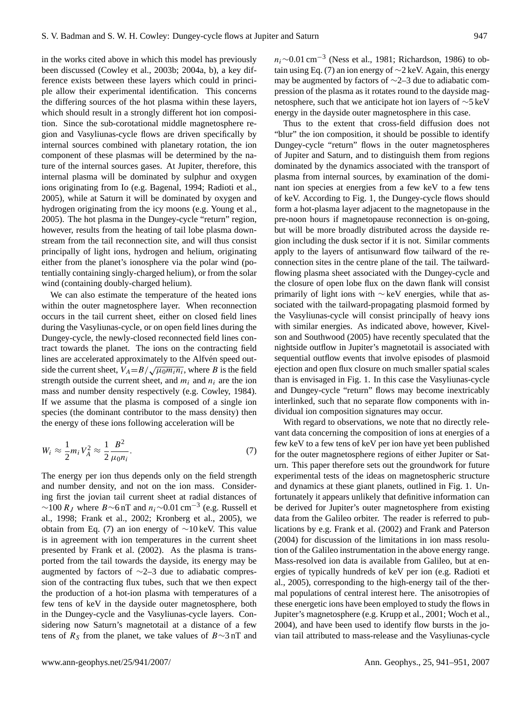in the works cited above in which this model has previously been discussed (Cowley et al., 2003b; 2004a, b), a key difference exists between these layers which could in principle allow their experimental identification. This concerns the differing sources of the hot plasma within these layers, which should result in a strongly different hot ion composition. Since the sub-corotational middle magnetosphere region and Vasyliunas-cycle flows are driven specifically by internal sources combined with planetary rotation, the ion component of these plasmas will be determined by the nature of the internal sources gases. At Jupiter, therefore, this internal plasma will be dominated by sulphur and oxygen ions originating from Io (e.g. Bagenal, 1994; Radioti et al., 2005), while at Saturn it will be dominated by oxygen and hydrogen originating from the icy moons (e.g. Young et al., 2005). The hot plasma in the Dungey-cycle "return" region, however, results from the heating of tail lobe plasma downstream from the tail reconnection site, and will thus consist principally of light ions, hydrogen and helium, originating either from the planet's ionosphere via the polar wind (potentially containing singly-charged helium), or from the solar wind (containing doubly-charged helium).

We can also estimate the temperature of the heated ions within the outer magnetosphere layer. When reconnection occurs in the tail current sheet, either on closed field lines during the Vasyliunas-cycle, or on open field lines during the Dungey-cycle, the newly-closed reconnected field lines contract towards the planet. The ions on the contracting field lines are accelerated approximately to the Alfven speed outside the current sheet,  $V_A = B/\sqrt{\mu_0 m_i n_i}$ , where B is the field strength outside the current sheet, and  $m_i$  and  $n_i$  are the ion mass and number density respectively (e.g. Cowley, 1984). If we assume that the plasma is composed of a single ion species (the dominant contributor to the mass density) then the energy of these ions following acceleration will be

$$
W_i \approx \frac{1}{2} m_i V_A^2 \approx \frac{1}{2} \frac{B^2}{\mu_0 n_i}.
$$
\n<sup>(7)</sup>

The energy per ion thus depends only on the field strength and number density, and not on the ion mass. Considering first the jovian tail current sheet at radial distances of  $\sim$ 100 R<sub>J</sub> where B∼6 nT and  $n_i$ ∼0.01 cm<sup>-3</sup> (e.g. Russell et al., 1998; Frank et al., 2002; Kronberg et al., 2005), we obtain from Eq. (7) an ion energy of ∼10 keV. This value is in agreement with ion temperatures in the current sheet presented by Frank et al. (2002). As the plasma is transported from the tail towards the dayside, its energy may be augmented by factors of ∼2–3 due to adiabatic compression of the contracting flux tubes, such that we then expect the production of a hot-ion plasma with temperatures of a few tens of keV in the dayside outer magnetosphere, both in the Dungey-cycle and the Vasyliunas-cycle layers. Considering now Saturn's magnetotail at a distance of a few tens of  $R<sub>S</sub>$  from the planet, we take values of  $B \sim 3$  nT and

 $n_i \sim 0.01 \text{ cm}^{-3}$  (Ness et al., 1981; Richardson, 1986) to obtain using Eq. (7) an ion energy of ∼2 keV. Again, this energy may be augmented by factors of ∼2–3 due to adiabatic compression of the plasma as it rotates round to the dayside magnetosphere, such that we anticipate hot ion layers of ∼5 keV energy in the dayside outer magnetosphere in this case.

Thus to the extent that cross-field diffusion does not "blur" the ion composition, it should be possible to identify Dungey-cycle "return" flows in the outer magnetospheres of Jupiter and Saturn, and to distinguish them from regions dominated by the dynamics associated with the transport of plasma from internal sources, by examination of the dominant ion species at energies from a few keV to a few tens of keV. According to Fig. 1, the Dungey-cycle flows should form a hot-plasma layer adjacent to the magnetopause in the pre-noon hours if magnetopause reconnection is on-going, but will be more broadly distributed across the dayside region including the dusk sector if it is not. Similar comments apply to the layers of antisunward flow tailward of the reconnection sites in the centre plane of the tail. The tailwardflowing plasma sheet associated with the Dungey-cycle and the closure of open lobe flux on the dawn flank will consist primarily of light ions with ∼ keV energies, while that associated with the tailward-propagating plasmoid formed by the Vasyliunas-cycle will consist principally of heavy ions with similar energies. As indicated above, however, Kivelson and Southwood (2005) have recently speculated that the nightside outflow in Jupiter's magnetotail is associated with sequential outflow events that involve episodes of plasmoid ejection and open flux closure on much smaller spatial scales than is envisaged in Fig. 1. In this case the Vasyliunas-cycle and Dungey-cycle "return" flows may become inextricably interlinked, such that no separate flow components with individual ion composition signatures may occur.

With regard to observations, we note that no directly relevant data concerning the composition of ions at energies of a few keV to a few tens of keV per ion have yet been published for the outer magnetosphere regions of either Jupiter or Saturn. This paper therefore sets out the groundwork for future experimental tests of the ideas on magnetospheric structure and dynamics at these giant planets, outlined in Fig. 1. Unfortunately it appears unlikely that definitive information can be derived for Jupiter's outer magnetosphere from existing data from the Galileo orbiter. The reader is referred to publications by e.g. Frank et al. (2002) and Frank and Paterson (2004) for discussion of the limitations in ion mass resolution of the Galileo instrumentation in the above energy range. Mass-resolved ion data is available from Galileo, but at energies of typically hundreds of keV per ion (e.g. Radioti et al., 2005), corresponding to the high-energy tail of the thermal populations of central interest here. The anisotropies of these energetic ions have been employed to study the flows in Jupiter's magnetosphere (e.g. Krupp et al., 2001; Woch et al., 2004), and have been used to identify flow bursts in the jovian tail attributed to mass-release and the Vasyliunas-cycle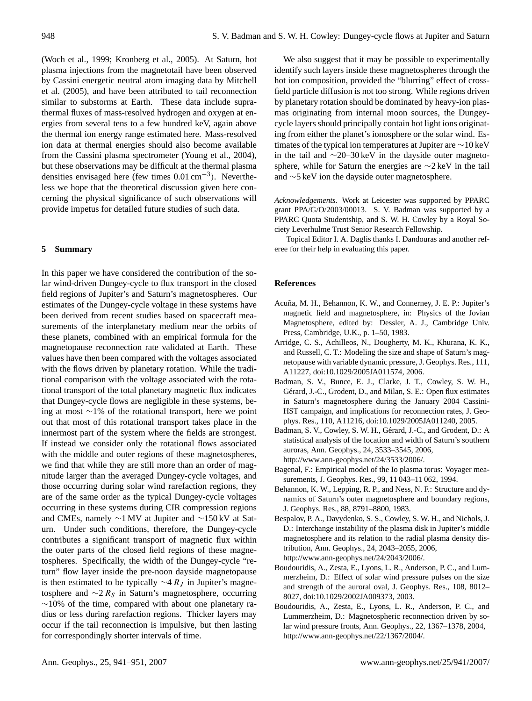(Woch et al., 1999; Kronberg et al., 2005). At Saturn, hot plasma injections from the magnetotail have been observed by Cassini energetic neutral atom imaging data by Mitchell et al. (2005), and have been attributed to tail reconnection similar to substorms at Earth. These data include suprathermal fluxes of mass-resolved hydrogen and oxygen at energies from several tens to a few hundred keV, again above the thermal ion energy range estimated here. Mass-resolved ion data at thermal energies should also become available from the Cassini plasma spectrometer (Young et al., 2004), but these observations may be difficult at the thermal plasma densities envisaged here (few times 0.01 cm−<sup>3</sup> ). Nevertheless we hope that the theoretical discussion given here concerning the physical significance of such observations will provide impetus for detailed future studies of such data.

#### **5 Summary**

In this paper we have considered the contribution of the solar wind-driven Dungey-cycle to flux transport in the closed field regions of Jupiter's and Saturn's magnetospheres. Our estimates of the Dungey-cycle voltage in these systems have been derived from recent studies based on spacecraft measurements of the interplanetary medium near the orbits of these planets, combined with an empirical formula for the magnetopause reconnection rate validated at Earth. These values have then been compared with the voltages associated with the flows driven by planetary rotation. While the traditional comparison with the voltage associated with the rotational transport of the total planetary magnetic flux indicates that Dungey-cycle flows are negligible in these systems, being at most ∼1% of the rotational transport, here we point out that most of this rotational transport takes place in the innermost part of the system where the fields are strongest. If instead we consider only the rotational flows associated with the middle and outer regions of these magnetospheres, we find that while they are still more than an order of magnitude larger than the averaged Dungey-cycle voltages, and those occurring during solar wind rarefaction regions, they are of the same order as the typical Dungey-cycle voltages occurring in these systems during CIR compression regions and CMEs, namely ∼1 MV at Jupiter and ∼150 kV at Saturn. Under such conditions, therefore, the Dungey-cycle contributes a significant transport of magnetic flux within the outer parts of the closed field regions of these magnetospheres. Specifically, the width of the Dungey-cycle "return" flow layer inside the pre-noon dayside magnetopause is then estimated to be typically  $\sim$ 4 R<sub>J</sub> in Jupiter's magnetosphere and  $\sim$ 2 R<sub>S</sub> in Saturn's magnetosphere, occurring  $∼10\%$  of the time, compared with about one planetary radius or less during rarefaction regions. Thicker layers may occur if the tail reconnection is impulsive, but then lasting for correspondingly shorter intervals of time.

We also suggest that it may be possible to experimentally identify such layers inside these magnetospheres through the hot ion composition, provided the "blurring" effect of crossfield particle diffusion is not too strong. While regions driven by planetary rotation should be dominated by heavy-ion plasmas originating from internal moon sources, the Dungeycycle layers should principally contain hot light ions originating from either the planet's ionosphere or the solar wind. Estimates of the typical ion temperatures at Jupiter are ∼10 keV in the tail and ∼20–30 keV in the dayside outer magnetosphere, while for Saturn the energies are ∼2 keV in the tail and ∼5 keV ion the dayside outer magnetosphere.

*Acknowledgements.* Work at Leicester was supported by PPARC grant PPA/G/O/2003/00013. S. V. Badman was supported by a PPARC Quota Studentship, and S. W. H. Cowley by a Royal Society Leverhulme Trust Senior Research Fellowship.

Topical Editor I. A. Daglis thanks I. Dandouras and another referee for their help in evaluating this paper.

#### **References**

- Acuña, M. H., Behannon, K. W., and Connerney, J. E. P.: Jupiter's magnetic field and magnetosphere, in: Physics of the Jovian Magnetosphere, edited by: Dessler, A. J., Cambridge Univ. Press, Cambridge, U.K., p. 1–50, 1983.
- Arridge, C. S., Achilleos, N., Dougherty, M. K., Khurana, K. K., and Russell, C. T.: Modeling the size and shape of Saturn's magnetopause with variable dynamic pressure, J. Geophys. Res., 111, A11227, doi:10.1029/2005JA011574, 2006.
- Badman, S. V., Bunce, E. J., Clarke, J. T., Cowley, S. W. H., Gérard, J.-C., Grodent, D., and Milan, S. E.: Open flux estimates in Saturn's magnetosphere during the January 2004 Cassini-HST campaign, and implications for reconnection rates, J. Geophys. Res., 110, A11216, doi:10.1029/2005JA011240, 2005.
- Badman, S. V., Cowley, S. W. H., Gérard, J.-C., and Grodent, D.: A statistical analysis of the location and width of Saturn's southern auroras, Ann. Geophys., 24, 3533–3545, 2006, [http://www.ann-geophys.net/24/3533/2006/.](http://www.ann-geophys.net/24/3533/2006/)
- Bagenal, F.: Empirical model of the Io plasma torus: Voyager measurements, J. Geophys. Res., 99, 11 043–11 062, 1994.
- Behannon, K. W., Lepping, R. P., and Ness, N. F.: Structure and dynamics of Saturn's outer magnetosphere and boundary regions, J. Geophys. Res., 88, 8791–8800, 1983.
- Bespalov, P. A., Davydenko, S. S., Cowley, S. W. H., and Nichols, J. D.: Interchange instability of the plasma disk in Jupiter's middle magnetosphere and its relation to the radial plasma density distribution, Ann. Geophys., 24, 2043–2055, 2006, [http://www.ann-geophys.net/24/2043/2006/.](http://www.ann-geophys.net/24/2043/2006/)
- Boudouridis, A., Zesta, E., Lyons, L. R., Anderson, P. C., and Lummerzheim, D.: Effect of solar wind pressure pulses on the size and strength of the auroral oval, J. Geophys. Res., 108, 8012– 8027, doi:10.1029/2002JA009373, 2003.
- Boudouridis, A., Zesta, E., Lyons, L. R., Anderson, P. C., and Lummerzheim, D.: Magnetospheric reconnection driven by solar wind pressure fronts, Ann. Geophys., 22, 1367–1378, 2004, [http://www.ann-geophys.net/22/1367/2004/.](http://www.ann-geophys.net/22/1367/2004/)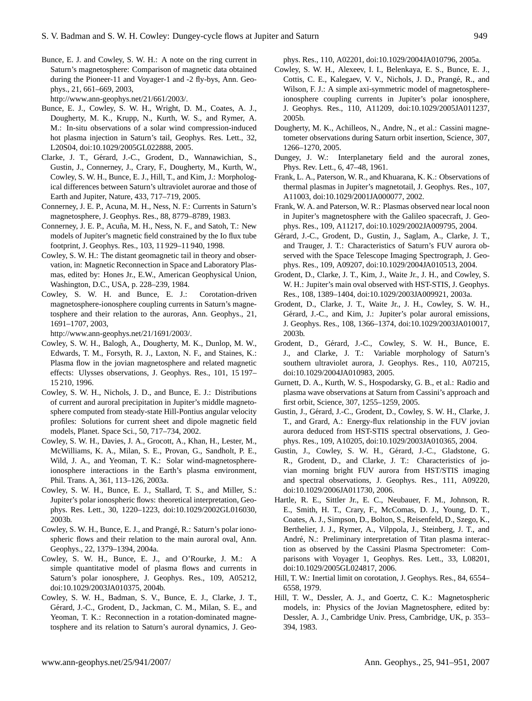Bunce, E. J. and Cowley, S. W. H.: A note on the ring current in Saturn's magnetosphere: Comparison of magnetic data obtained during the Pioneer-11 and Voyager-1 and -2 fly-bys, Ann. Geophys., 21, 661–669, 2003,

[http://www.ann-geophys.net/21/661/2003/.](http://www.ann-geophys.net/21/661/2003/)

- Bunce, E. J., Cowley, S. W. H., Wright, D. M., Coates, A. J., Dougherty, M. K., Krupp, N., Kurth, W. S., and Rymer, A. M.: In-situ observations of a solar wind compression-induced hot plasma injection in Saturn's tail, Geophys. Res. Lett., 32, L20S04, doi:10.1029/2005GL022888, 2005.
- Clarke, J. T., Gérard, J.-C., Grodent, D., Wannawichian, S., Gustin, J., Connerney, J., Crary, F., Dougherty, M., Kurth, W., Cowley, S. W. H., Bunce, E. J., Hill, T., and Kim, J.: Morphological differences between Saturn's ultraviolet aurorae and those of Earth and Jupiter, Nature, 433, 717–719, 2005.
- Connerney, J. E. P., Acuna, M. H., Ness, N. F.: Currents in Saturn's magnetosphere, J. Geophys. Res., 88, 8779–8789, 1983.
- Connerney, J. E. P., Acuña, M. H., Ness, N. F., and Satoh, T.: New models of Jupiter's magnetic field constrained by the Io flux tube footprint, J. Geophys. Res., 103, 11 929–11 940, 1998.
- Cowley, S. W. H.: The distant geomagnetic tail in theory and observation, in: Magnetic Reconnection in Space and Laboratory Plasmas, edited by: Hones Jr., E.W., American Geophysical Union, Washington, D.C., USA, p. 228–239, 1984.
- Cowley, S. W. H. and Bunce, E. J.: Corotation-driven magnetosphere-ionosphere coupling currents in Saturn's magnetosphere and their relation to the auroras, Ann. Geophys., 21, 1691–1707, 2003,

[http://www.ann-geophys.net/21/1691/2003/.](http://www.ann-geophys.net/21/1691/2003/)

- Cowley, S. W. H., Balogh, A., Dougherty, M. K., Dunlop, M. W., Edwards, T. M., Forsyth, R. J., Laxton, N. F., and Staines, K.: Plasma flow in the jovian magnetosphere and related magnetic effects: Ulysses observations, J. Geophys. Res., 101, 15 197– 15 210, 1996.
- Cowley, S. W. H., Nichols, J. D., and Bunce, E. J.: Distributions of current and auroral precipitation in Jupiter's middle magnetosphere computed from steady-state Hill-Pontius angular velocity profiles: Solutions for current sheet and dipole magnetic field models, Planet. Space Sci., 50, 717–734, 2002.
- Cowley, S. W. H., Davies, J. A., Grocott, A., Khan, H., Lester, M., McWilliams, K. A., Milan, S. E., Provan, G., Sandholt, P. E., Wild, J. A., and Yeoman, T. K.: Solar wind-magnetosphereionosphere interactions in the Earth's plasma environment, Phil. Trans. A, 361, 113–126, 2003a.
- Cowley, S. W. H., Bunce, E. J., Stallard, T. S., and Miller, S.: Jupiter's polar ionospheric flows: theoretical interpretation, Geophys. Res. Lett., 30, 1220–1223, doi:10.1029/2002GL016030, 2003b.
- Cowley, S. W. H., Bunce, E. J., and Prangé, R.: Saturn's polar ionospheric flows and their relation to the main auroral oval, Ann. Geophys., 22, 1379–1394, 2004a.
- Cowley, S. W. H., Bunce, E. J., and O'Rourke, J. M.: A simple quantitative model of plasma flows and currents in Saturn's polar ionosphere, J. Geophys. Res., 109, A05212, doi:10.1029/2003JA010375, 2004b.
- Cowley, S. W. H., Badman, S. V., Bunce, E. J., Clarke, J. T., Gérard, J.-C., Grodent, D., Jackman, C. M., Milan, S. E., and Yeoman, T. K.: Reconnection in a rotation-dominated magnetosphere and its relation to Saturn's auroral dynamics, J. Geo-

phys. Res., 110, A02201, doi:10.1029/2004JA010796, 2005a.

- Cowley, S. W. H., Alexeev, I. I., Belenkaya, E. S., Bunce, E. J., Cottis, C. E., Kalegaev, V. V., Nichols, J. D., Prangé, R., and Wilson, F. J.: A simple axi-symmetric model of magnetosphereionosphere coupling currents in Jupiter's polar ionosphere, J. Geophys. Res., 110, A11209, doi:10.1029/2005JA011237, 2005b.
- Dougherty, M. K., Achilleos, N., Andre, N., et al.: Cassini magnetometer observations during Saturn orbit insertion, Science, 307, 1266–1270, 2005.
- Dungey, J. W.: Interplanetary field and the auroral zones, Phys. Rev. Lett., 6, 47–48, 1961.
- Frank, L. A., Paterson, W. R., and Khuarana, K. K.: Observations of thermal plasmas in Jupiter's magnetotail, J. Geophys. Res., 107, A11003, doi:10.1029/2001JA000077, 2002.
- Frank, W. A. and Paterson, W. R.: Plasmas observed near local noon in Jupiter's magnetosphere with the Galileo spacecraft, J. Geophys. Res., 109, A11217, doi:10.1029/2002JA009795, 2004.
- Gérard, J.-C., Grodent, D., Gustin, J., Saglam, A., Clarke, J. T., and Trauger, J. T.: Characteristics of Saturn's FUV aurora observed with the Space Telescope Imaging Spectrograph, J. Geophys. Res., 109, A09207, doi:10.1029/2004JA010513, 2004.
- Grodent, D., Clarke, J. T., Kim, J., Waite Jr., J. H., and Cowley, S. W. H.: Jupiter's main oval observed with HST-STIS, J. Geophys. Res., 108, 1389–1404, doi:10.1029/2003JA009921, 2003a.
- Grodent, D., Clarke, J. T., Waite Jr., J. H., Cowley, S. W. H., Gérard, J.-C., and Kim, J.: Jupiter's polar auroral emissions, J. Geophys. Res., 108, 1366–1374, doi:10.1029/2003JA010017, 2003b.
- Grodent, D., Gérard, J.-C., Cowley, S. W. H., Bunce, E. J., and Clarke, J. T.: Variable morphology of Saturn's southern ultraviolet aurora, J. Geophys. Res., 110, A07215, doi:10.1029/2004JA010983, 2005.
- Gurnett, D. A., Kurth, W. S., Hospodarsky, G. B., et al.: Radio and plasma wave observations at Saturn from Cassini's approach and first orbit, Science, 307, 1255–1259, 2005.
- Gustin, J., Gerard, J.-C., Grodent, D., Cowley, S. W. H., Clarke, J. ´ T., and Grard, A.: Energy-flux relationship in the FUV jovian aurora deduced from HST-STIS spectral observations, J. Geophys. Res., 109, A10205, doi:10.1029/2003JA010365, 2004.
- Gustin, J., Cowley, S. W. H., Gérard, J.-C., Gladstone, G. R., Grodent, D., and Clarke, J. T.: Characteristics of jovian morning bright FUV aurora from HST/STIS imaging and spectral observations, J. Geophys. Res., 111, A09220, doi:10.1029/2006JA011730, 2006.
- Hartle, R. E., Sittler Jr., E. C., Neubauer, F. M., Johnson, R. E., Smith, H. T., Crary, F., McComas, D. J., Young, D. T., Coates, A. J., Simpson, D., Bolton, S., Reisenfeld, D., Szego, K., Berthelier, J. J., Rymer, A., Vilppola, J., Steinberg, J. T., and André, N.: Preliminary interpretation of Titan plasma interaction as observed by the Cassini Plasma Spectrometer: Comparisons with Voyager 1, Geophys. Res. Lett., 33, L08201, doi:10.1029/2005GL024817, 2006.
- Hill, T. W.: Inertial limit on corotation, J. Geophys. Res., 84, 6554– 6558, 1979.
- Hill, T. W., Dessler, A. J., and Goertz, C. K.: Magnetospheric models, in: Physics of the Jovian Magnetosphere, edited by: Dessler, A. J., Cambridge Univ. Press, Cambridge, UK, p. 353– 394, 1983.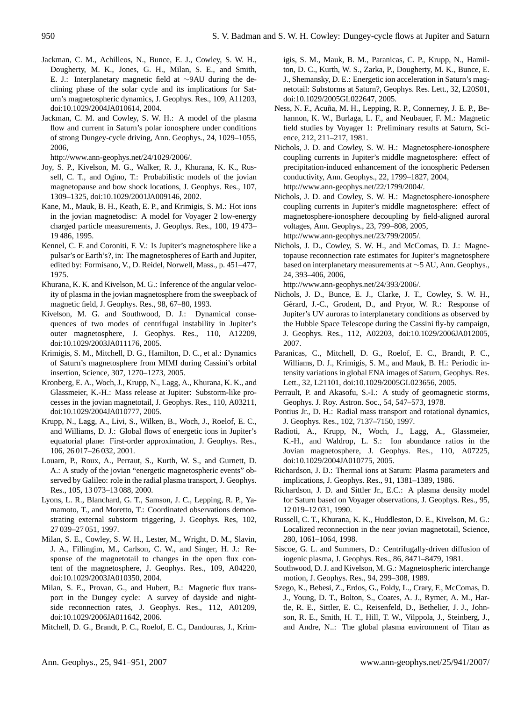- Jackman, C. M., Achilleos, N., Bunce, E. J., Cowley, S. W. H., Dougherty, M. K., Jones, G. H., Milan, S. E., and Smith, E. J.: Interplanetary magnetic field at ∼9AU during the declining phase of the solar cycle and its implications for Saturn's magnetospheric dynamics, J. Geophys. Res., 109, A11203, doi:10.1029/2004JA010614, 2004.
- Jackman, C. M. and Cowley, S. W. H.: A model of the plasma flow and current in Saturn's polar ionosphere under conditions of strong Dungey-cycle driving, Ann. Geophys., 24, 1029–1055, 2006,

[http://www.ann-geophys.net/24/1029/2006/.](http://www.ann-geophys.net/24/1029/2006/)

- Joy, S. P., Kivelson, M. G., Walker, R. J., Khurana, K. K., Russell, C. T., and Ogino, T.: Probabilistic models of the jovian magnetopause and bow shock locations, J. Geophys. Res., 107, 1309–1325, doi:10.1029/2001JA009146, 2002.
- Kane, M., Mauk, B. H., Keath, E. P., and Krimigis, S. M.: Hot ions in the jovian magnetodisc: A model for Voyager 2 low-energy charged particle measurements, J. Geophys. Res., 100, 19 473– 19 486, 1995.
- Kennel, C. F. and Coroniti, F. V.: Is Jupiter's magnetosphere like a pulsar's or Earth's?, in: The magnetospheres of Earth and Jupiter, edited by: Formisano, V., D. Reidel, Norwell, Mass., p. 451–477, 1975.
- Khurana, K. K. and Kivelson, M. G.: Inference of the angular velocity of plasma in the jovian magnetosphere from the sweepback of magnetic field, J. Geophys. Res., 98, 67–80, 1993.
- Kivelson, M. G. and Southwood, D. J.: Dynamical consequences of two modes of centrifugal instability in Jupiter's outer magnetosphere, J. Geophys. Res., 110, A12209, doi:10.1029/2003JA011176, 2005.
- Krimigis, S. M., Mitchell, D. G., Hamilton, D. C., et al.: Dynamics of Saturn's magnetosphere from MIMI during Cassini's orbital insertion, Science, 307, 1270–1273, 2005.
- Kronberg, E. A., Woch, J., Krupp, N., Lagg, A., Khurana, K. K., and Glassmeier, K.-H.: Mass release at Jupiter: Substorm-like processes in the jovian magnetotail, J. Geophys. Res., 110, A03211, doi:10.1029/2004JA010777, 2005.
- Krupp, N., Lagg, A., Livi, S., Wilken, B., Woch, J., Roelof, E. C., and Williams, D. J.: Global flows of energetic ions in Jupiter's equatorial plane: First-order approximation, J. Geophys. Res., 106, 26 017–26 032, 2001.
- Louarn, P., Roux, A., Perraut, S., Kurth, W. S., and Gurnett, D. A.: A study of the jovian "energetic magnetospheric events" observed by Galileo: role in the radial plasma transport, J. Geophys. Res., 105, 13 073–13 088, 2000.
- Lyons, L. R., Blanchard, G. T., Samson, J. C., Lepping, R. P., Yamamoto, T., and Moretto, T.: Coordinated observations demonstrating external substorm triggering, J. Geophys. Res, 102, 27 039–27 051, 1997.
- Milan, S. E., Cowley, S. W. H., Lester, M., Wright, D. M., Slavin, J. A., Fillingim, M., Carlson, C. W., and Singer, H. J.: Response of the magnetotail to changes in the open flux content of the magnetosphere, J. Geophys. Res., 109, A04220, doi:10.1029/2003JA010350, 2004.
- Milan, S. E., Provan, G., and Hubert, B.: Magnetic flux transport in the Dungey cycle: A survey of dayside and nightside reconnection rates, J. Geophys. Res., 112, A01209, doi:10.1029/2006JA011642, 2006.

Mitchell, D. G., Brandt, P. C., Roelof, E. C., Dandouras, J., Krim-

igis, S. M., Mauk, B. M., Paranicas, C. P., Krupp, N., Hamilton, D. C., Kurth, W. S., Zarka, P., Dougherty, M. K., Bunce, E. J., Shemansky, D. E.: Energetic ion acceleration in Saturn's magnetotail: Substorms at Saturn?, Geophys. Res. Lett., 32, L20S01, doi:10.1029/2005GL022647, 2005.

- Ness, N. F., Acuña, M. H., Lepping, R. P., Connerney, J. E. P., Behannon, K. W., Burlaga, L. F., and Neubauer, F. M.: Magnetic field studies by Voyager 1: Preliminary results at Saturn, Science, 212, 211–217, 1981.
- Nichols, J. D. and Cowley, S. W. H.: Magnetosphere-ionosphere coupling currents in Jupiter's middle magnetosphere: effect of precipitation-induced enhancement of the ionospheric Pedersen conductivity, Ann. Geophys., 22, 1799–1827, 2004, [http://www.ann-geophys.net/22/1799/2004/.](http://www.ann-geophys.net/22/1799/2004/)
- Nichols, J. D. and Cowley, S. W. H.: Magnetosphere-ionosphere coupling currents in Jupiter's middle magnetosphere: effect of magnetosphere-ionosphere decoupling by field-aligned auroral voltages, Ann. Geophys., 23, 799–808, 2005, [http://www.ann-geophys.net/23/799/2005/.](http://www.ann-geophys.net/23/799/2005/)
- Nichols, J. D., Cowley, S. W. H., and McComas, D. J.: Magnetopause reconnection rate estimates for Jupiter's magnetosphere based on interplanetary measurements at ∼5 AU, Ann. Geophys., 24, 393–406, 2006,

[http://www.ann-geophys.net/24/393/2006/.](http://www.ann-geophys.net/24/393/2006/)

- Nichols, J. D., Bunce, E. J., Clarke, J. T., Cowley, S. W. H., Gérard, J.-C., Grodent, D., and Pryor, W. R.: Response of Jupiter's UV auroras to interplanetary conditions as observed by the Hubble Space Telescope during the Cassini fly-by campaign, J. Geophys. Res., 112, A02203, doi:10.1029/2006JA012005, 2007.
- Paranicas, C., Mitchell, D. G., Roelof, E. C., Brandt, P. C., Williams, D. J., Krimigis, S. M., and Mauk, B. H.: Periodic intensity variations in global ENA images of Saturn, Geophys. Res. Lett., 32, L21101, doi:10.1029/2005GL023656, 2005.
- Perrault, P. and Akasofu, S.-I.: A study of geomagnetic storms, Geophys. J. Roy. Astron. Soc., 54, 547–573, 1978.
- Pontius Jr., D. H.: Radial mass transport and rotational dynamics, J. Geophys. Res., 102, 7137–7150, 1997.
- Radioti, A., Krupp, N., Woch, J., Lagg, A., Glassmeier, K.-H., and Waldrop, L. S.: Ion abundance ratios in the Jovian magnetosphere, J. Geophys. Res., 110, A07225, doi:10.1029/2004JA010775, 2005.
- Richardson, J. D.: Thermal ions at Saturn: Plasma parameters and implications, J. Geophys. Res., 91, 1381–1389, 1986.
- Richardson, J. D. and Sittler Jr., E.C.: A plasma density model for Saturn based on Voyager observations, J. Geophys. Res., 95, 12 019–12 031, 1990.
- Russell, C. T., Khurana, K. K., Huddleston, D. E., Kivelson, M. G.: Localized reconnection in the near jovian magnetotail, Science, 280, 1061–1064, 1998.
- Siscoe, G. L. and Summers, D.: Centrifugally-driven diffusion of iogenic plasma, J. Geophys. Res., 86, 8471–8479, 1981.
- Southwood, D. J. and Kivelson, M. G.: Magnetospheric interchange motion, J. Geophys. Res., 94, 299–308, 1989.
- Szego, K., Bebesi, Z., Erdos, G., Foldy, L., Crary, F., McComas, D. J., Young, D. T., Bolton, S., Coates, A. J., Rymer, A. M., Hartle, R. E., Sittler, E. C., Reisenfeld, D., Bethelier, J. J., Johnson, R. E., Smith, H. T., Hill, T. W., Vilppola, J., Steinberg, J., and Andre, N..: The global plasma environment of Titan as